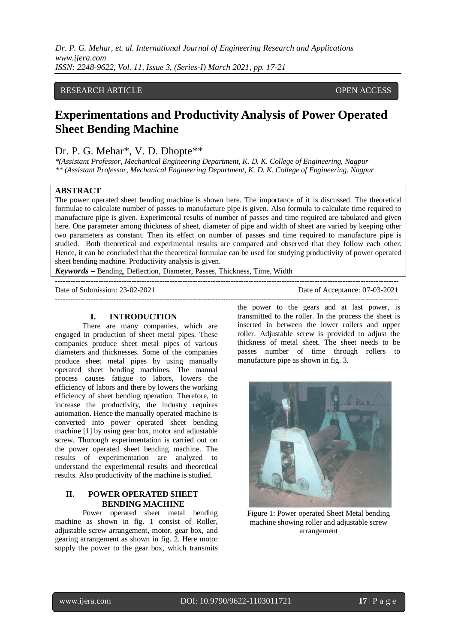# RESEARCH ARTICLE **CONSERVERS** OPEN ACCESS

# **Experimentations and Productivity Analysis of Power Operated Sheet Bending Machine**

# Dr. P. G. Mehar<sup>\*</sup>, V. D. Dhopte<sup>\*\*</sup>

*\*(Assistant Professor, Mechanical Engineering Department, K. D. K. College of Engineering, Nagpur \*\* (Assistant Professor, Mechanical Engineering Department, K. D. K. College of Engineering, Nagpur*

#### **ABSTRACT**

The power operated sheet bending machine is shown here. The importance of it is discussed. The theoretical formulae to calculate number of passes to manufacture pipe is given. Also formula to calculate time required to manufacture pipe is given. Experimental results of number of passes and time required are tabulated and given here. One parameter among thickness of sheet, diameter of pipe and width of sheet are varied by keeping other two parameters as constant. Then its effect on number of passes and time required to manufacture pipe is studied. Both theoretical and experimental results are compared and observed that they follow each other. Hence, it can be concluded that the theoretical formulae can be used for studying productivity of power operated sheet bending machine. Productivity analysis is given.

---------------------------------------------------------------------------------------------------------------------------------------

*Keywords* **–** Bending, Deflection, Diameter, Passes, Thickness, Time, Width

Date of Submission: 23-02-2021 Date of Acceptance: 07-03-2021

---------------------------------------------------------------------------------------------------------------------------------------

#### **I. INTRODUCTION**

There are many companies, which are engaged in production of sheet metal pipes. These companies produce sheet metal pipes of various diameters and thicknesses. Some of the companies produce sheet metal pipes by using manually operated sheet bending machines. The manual process causes fatigue to labors, lowers the efficiency of labors and there by lowers the working efficiency of sheet bending operation. Therefore, to increase the productivity, the industry requires automation. Hence the manually operated machine is converted into power operated sheet bending machine [1] by using gear box, motor and adjustable screw. Thorough experimentation is carried out on the power operated sheet bending machine. The results of experimentation are analyzed to understand the experimental results and theoretical results. Also productivity of the machine is studied.

# **II. POWER OPERATED SHEET BENDING MACHINE**

Power operated sheet metal bending machine as shown in fig. 1 consist of Roller, adjustable screw arrangement, motor, gear box, and gearing arrangement as shown in fig. 2. Here motor supply the power to the gear box, which transmits

the power to the gears and at last power, is transmitted to the roller. In the process the sheet is inserted in between the lower rollers and upper roller. Adjustable screw is provided to adjust the thickness of metal sheet. The sheet needs to be passes number of time through rollers to manufacture pipe as shown in fig. 3.



Figure 1: Power operated Sheet Metal bending machine showing roller and adjustable screw arrangement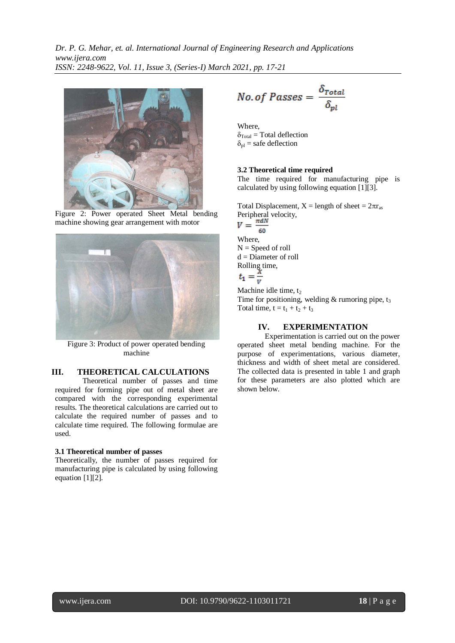

Figure 2: Power operated Sheet Metal bending machine showing gear arrangement with motor



Figure 3: Product of power operated bending machine

# **III. THEORETICAL CALCULATIONS**

Theoretical number of passes and time required for forming pipe out of metal sheet are compared with the corresponding experimental results. The theoretical calculations are carried out to calculate the required number of passes and to calculate time required. The following formulae are used.

#### **3.1 Theoretical number of passes**

Theoretically, the number of passes required for manufacturing pipe is calculated by using following equation [1][2].

$$
No. of Passes = \frac{\delta_{Total}}{\delta_{pl}}
$$

Where,

 $\delta_{\text{Total}} = \text{Total deflection}$  $\delta_{\rm pl}$  = safe deflection

#### **3.2 Theoretical time required**

The time required for manufacturing pipe is calculated by using following equation [1][3].

Total Displacement,  $X =$  length of sheet =  $2\pi r_{as}$ Peripheral velocity,<br> $V = \frac{\pi dN}{L}$ 60 Where,  $N =$  Speed of roll d = Diameter of roll Rolling time,<br> $t_1 = \frac{x}{v}$ 

Machine idle time,  $t_2$ Time for positioning, welding  $&$  rumoring pipe,  $t_3$ Total time,  $t = t_1 + t_2 + t_3$ 

#### **IV. EXPERIMENTATION**

Experimentation is carried out on the power operated sheet metal bending machine. For the purpose of experimentations, various diameter, thickness and width of sheet metal are considered. The collected data is presented in table 1 and graph for these parameters are also plotted which are shown below.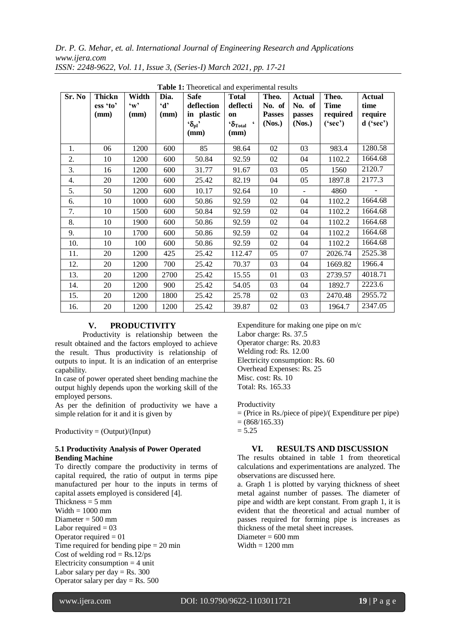| Sr. No | Thickn<br>ess 'to'<br>(mm) | Width<br>$\mathbf{w}$ ,<br>(mm) | Dia.<br>$\mathbf{d}$<br>(mm) | <b>Tuble 1:</b> Theoretical and experimental results<br><b>Safe</b><br>deflection<br>in plastic<br>$\mathbf{G}_{\mathrm{pl}}$ | <b>Total</b><br>deflecti<br>on<br>$\mathbf{G}_{\text{Total}}$ | Theo.<br>No. of<br><b>Passes</b><br>(Nos.) | <b>Actual</b><br>No. of<br>passes<br>(Nos.) | Theo.<br><b>Time</b><br>required<br>('sec') | <b>Actual</b><br>time<br>require<br>$d$ ('sec') |
|--------|----------------------------|---------------------------------|------------------------------|-------------------------------------------------------------------------------------------------------------------------------|---------------------------------------------------------------|--------------------------------------------|---------------------------------------------|---------------------------------------------|-------------------------------------------------|
|        |                            |                                 |                              | (mm)                                                                                                                          | (mm)                                                          |                                            |                                             |                                             |                                                 |
| 1.     | 06                         | 1200                            | 600                          | 85                                                                                                                            | 98.64                                                         | 02                                         | 03                                          | 983.4                                       | 1280.58                                         |
| 2.     | 10                         | 1200                            | 600                          | 50.84                                                                                                                         | 92.59                                                         | 02                                         | 04                                          | 1102.2                                      | 1664.68                                         |
| 3.     | 16                         | 1200                            | 600                          | 31.77                                                                                                                         | 91.67                                                         | 03                                         | 05                                          | 1560                                        | 2120.7                                          |
| 4.     | 20                         | 1200                            | 600                          | 25.42                                                                                                                         | 82.19                                                         | 04                                         | 05                                          | 1897.8                                      | 2177.3                                          |
| 5.     | 50                         | 1200                            | 600                          | 10.17                                                                                                                         | 92.64                                                         | 10                                         | $\mathbf{r}$                                | 4860                                        |                                                 |
| 6.     | 10                         | 1000                            | 600                          | 50.86                                                                                                                         | 92.59                                                         | 02                                         | 04                                          | 1102.2                                      | 1664.68                                         |
| 7.     | 10                         | 1500                            | 600                          | 50.84                                                                                                                         | 92.59                                                         | 02                                         | 04                                          | 1102.2                                      | 1664.68                                         |
| 8.     | 10                         | 1900                            | 600                          | 50.86                                                                                                                         | 92.59                                                         | 02                                         | 04                                          | 1102.2                                      | 1664.68                                         |
| 9.     | 10                         | 1700                            | 600                          | 50.86                                                                                                                         | 92.59                                                         | 02                                         | 04                                          | 1102.2                                      | 1664.68                                         |
| 10.    | 10                         | 100                             | 600                          | 50.86                                                                                                                         | 92.59                                                         | 02                                         | 04                                          | 1102.2                                      | 1664.68                                         |
| 11.    | 20                         | 1200                            | 425                          | 25.42                                                                                                                         | 112.47                                                        | 05                                         | 07                                          | 2026.74                                     | 2525.38                                         |
| 12.    | 20                         | 1200                            | 700                          | 25.42                                                                                                                         | 70.37                                                         | 03                                         | 04                                          | 1669.82                                     | 1966.4                                          |
| 13.    | 20                         | 1200                            | 2700                         | 25.42                                                                                                                         | 15.55                                                         | 01                                         | 03                                          | 2739.57                                     | 4018.71                                         |
| 14.    | 20                         | 1200                            | 900                          | 25.42                                                                                                                         | 54.05                                                         | 03                                         | 04                                          | 1892.7                                      | 2223.6                                          |
| 15.    | 20                         | 1200                            | 1800                         | 25.42                                                                                                                         | 25.78                                                         | 02                                         | 03                                          | 2470.48                                     | 2955.72                                         |
| 16.    | 20                         | 1200                            | 1200                         | 25.42                                                                                                                         | 39.87                                                         | 02                                         | 03                                          | 1964.7                                      | 2347.05                                         |

**Table 1:** Theoretical and experimental results

## **V. PRODUCTIVITY**

Productivity is relationship between the result obtained and the factors employed to achieve the result. Thus productivity is relationship of outputs to input. It is an indication of an enterprise capability.

In case of power operated sheet bending machine the output highly depends upon the working skill of the employed persons.

As per the definition of productivity we have a simple relation for it and it is given by

 $Productivity = (Output)/(Input)$ 

## **5.1 Productivity Analysis of Power Operated Bending Machine**

To directly compare the productivity in terms of capital required, the ratio of output in terms pipe manufactured per hour to the inputs in terms of capital assets employed is considered [4].

Thickness  $= 5$  mm Width  $= 1000$  mm Diameter  $= 500$  mm Labor required  $= 03$ Operator required  $= 01$ Time required for bending pipe  $= 20$  min Cost of welding  $rod = Rs.12/ps$ Electricity consumption  $=$  4 unit Labor salary per day  $=$  Rs. 300 Operator salary per day  $=$  Rs. 500

Expenditure for making one pipe on m/c Labor charge: Rs. 37.5 Operator charge: Rs. 20.83 Welding rod: Rs. 12.00 Electricity consumption: Rs. 60 Overhead Expenses: Rs. 25 Misc. cost: Rs. 10 Total: Rs. 165.33

Productivity

= (Price in Rs./piece of pipe)/( Expenditure per pipe)

 $= (868/165.33)$ 

 $= 5.25$ 

# **VI. RESULTS AND DISCUSSION**

The results obtained in table 1 from theoretical calculations and experimentations are analyzed. The observations are discussed here.

a. Graph 1 is plotted by varying thickness of sheet metal against number of passes. The diameter of pipe and width are kept constant. From graph 1, it is evident that the theoretical and actual number of passes required for forming pipe is increases as thickness of the metal sheet increases.

Diameter  $= 600$  mm Width  $= 1200$  mm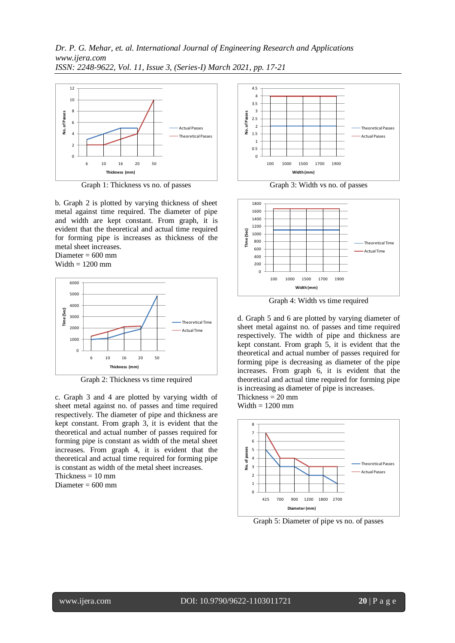

Graph 1: Thickness vs no. of passes

b. Graph 2 is plotted by varying thickness of sheet metal against time required. The diameter of pipe and width are kept constant. From graph, it is evident that the theoretical and actual time required for forming pipe is increases as thickness of the metal sheet increases.

Diameter  $= 600$  mm Width  $= 1200$  mm



Graph 2: Thickness vs time required

c. Graph 3 and 4 are plotted by varying width of sheet metal against no. of passes and time required respectively. The diameter of pipe and thickness are kept constant. From graph 3, it is evident that the theoretical and actual number of passes required for forming pipe is constant as width of the metal sheet increases. From graph 4, it is evident that the theoretical and actual time required for forming pipe is constant as width of the metal sheet increases. Thickness  $= 10$  mm

Diameter  $= 600$  mm



Graph 3: Width vs no. of passes



Graph 4: Width vs time required

d. Graph 5 and 6 are plotted by varying diameter of sheet metal against no. of passes and time required respectively. The width of pipe and thickness are kept constant. From graph 5, it is evident that the theoretical and actual number of passes required for forming pipe is decreasing as diameter of the pipe increases. From graph 6, it is evident that the theoretical and actual time required for forming pipe is increasing as diameter of pipe is increases. Thickness  $= 20$  mm

Width  $= 1200$  mm



Graph 5: Diameter of pipe vs no. of passes